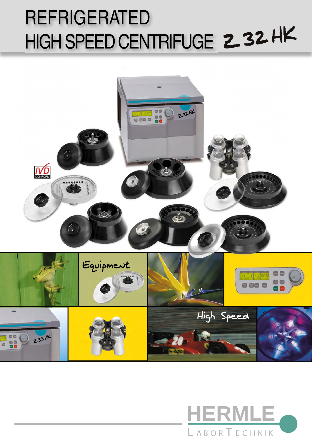# REFRIGERATED HIGH SPEED CENTRIFUGE 232HK



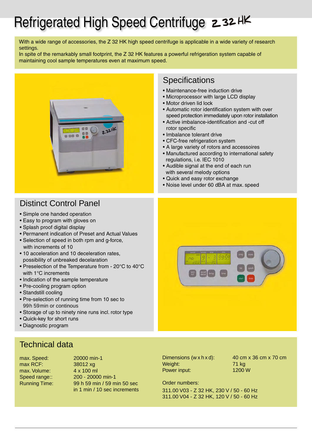### Refrigerated High Speed Centrifuge 232 HK

With a wide range of accessories, the Z 32 HK high speed centrifuge is applicable in a wide variety of research settings.

In spite of the remarkably small footprint, the Z 32 HK features a powerful refrigeration system capable of maintaining cool sample temperatures even at maximum speed.



### • Motor driven lid lock

- Automatic rotor identification system with over speed protection immediately upon rotor installation
- Active imbalance-identification and -cut off rotor specific
- Imbalance tolerant drive

**Specifications** 

• CFC-free refrigeration system

• Maintenance-free induction drive • Microprocessor with large LCD display

- A large variety of rotors and accessoires
- Manufactured according to international safety regulations, i.e. IEC 1010
- Audible signal at the end of each run with several melody options
- Quick and easy rotor exchange
- Noise level under 60 dBA at max. speed

### Distinct Control Panel

- Simple one handed operation
- Easy to program with gloves on
- Splash proof digital display
- Permanent indication of Preset and Actual Values
- Selection of speed in both rpm and g-force, with increments of 10
- 10 acceleration and 10 deceleration rates, possibility of unbreaked decelaration
- Preselection of the Temperature from 20°C to 40°C with 1°C increments
- Indication of the sample temperature
- Pre-cooling program option
- Standstill cooling
- Pre-selection of running time from 10 sec to 99h 59min or continous
- Storage of up to ninety nine runs incl. rotor type
- Quick-key for short runs
- Diagnostic program

### Technical data

max RCF: 38012 xg max. Volume: 4 x 100 ml

max. Speed: 20000 min-1 Speed range:: 200 - 20000 min-1 Running Time: 99 h 59 min / 59 min 50 sec in 1 min / 10 sec increments



Weight: 71 kg Power input: 1200 W

Dimensions  $(w \times h \times d)$ :  $40 \text{ cm} \times 36 \text{ cm} \times 70 \text{ cm}$ 

Order numbers:

311.00 V03 - Z 32 HK, 230 V / 50 - 60 Hz 311.00 V04 - Z 32 HK, 120 V / 50 - 60 Hz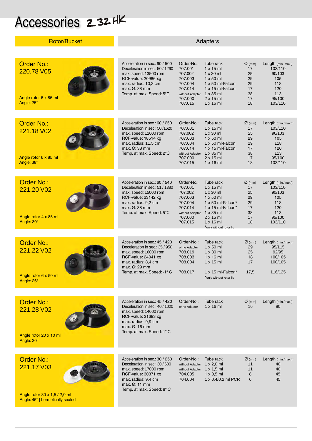# Accessories 232HK

| <b>Rotor/Bucket</b>                                                    | Adapters                                                                                                                                                                                            |                                                                                                            |                                                                                                                                                                                  |                                                                    |                                                                                           |
|------------------------------------------------------------------------|-----------------------------------------------------------------------------------------------------------------------------------------------------------------------------------------------------|------------------------------------------------------------------------------------------------------------|----------------------------------------------------------------------------------------------------------------------------------------------------------------------------------|--------------------------------------------------------------------|-------------------------------------------------------------------------------------------|
|                                                                        |                                                                                                                                                                                                     |                                                                                                            |                                                                                                                                                                                  |                                                                    |                                                                                           |
| <b>Order No.:</b><br>220.78 V05<br>Angle rotor 6 x 85 ml<br>Angle: 25° | Acceleration in sec.: 60 / 500<br>Deceleration in sec.: 50 / 1260<br>max. speed: 13500 rpm<br>RCF-value: 20986 xg<br>max. radius: 10,3 cm<br>$max. \varnothing$ : 38 mm<br>Temp. at max. Speed: 5°C | Order-No.:<br>707.001<br>707.002<br>707.003<br>707.004<br>707.014<br>without Adapter<br>707.000<br>707.015 | Tube rack<br>$1 \times 15$ ml<br>$1 \times 30$ ml<br>$1 \times 50$ ml<br>1 x 50 ml-Falcon<br>$1 \times 15$ ml-Falcon<br>$1 \times 85$ ml<br>$2 \times 15$ ml<br>$1 \times 16$ ml | $\varnothing$ (mm)<br>17<br>25<br>29<br>29<br>17<br>38<br>17<br>18 | Length (min./max.):<br>103/110<br>90/103<br>105<br>118<br>120<br>113<br>95/100<br>103/110 |
|                                                                        |                                                                                                                                                                                                     |                                                                                                            |                                                                                                                                                                                  |                                                                    |                                                                                           |
| <b>Order No.:</b><br>221.18 V02<br>Angle rotor 6 x 85 ml               | Acceleration in sec.: 60 / 250<br>Deceleration in sec.: 50/1620<br>max. speed: 12000 rpm<br>RCF-value: 18514 xg<br>max. radius: 11,5 cm<br>$max. \varnothing$ : 38 mm<br>Temp. at max. Speed: 2°C   | Order-No.:<br>707.001<br>707.002<br>707.003<br>707.004<br>707.014<br>without Adapter                       | Tube rack<br>$1 \times 15$ ml<br>$1 \times 30$ ml<br>$1 \times 50$ ml<br>1 x 50 ml-Falcon<br>1 x 15 ml-Falcon<br>$1 \times 85$ ml                                                | $\varnothing$ (mm)<br>17<br>25<br>29<br>29<br>17<br>38             | Length (min./max.):<br>103/110<br>90/103<br>105<br>118<br>120<br>113                      |
| Angle: 38°                                                             |                                                                                                                                                                                                     | 707.000<br>707.015                                                                                         | $2 \times 15$ ml<br>$1 \times 16$ ml                                                                                                                                             | 17<br>18                                                           | 95/100<br>103/110                                                                         |
|                                                                        |                                                                                                                                                                                                     |                                                                                                            |                                                                                                                                                                                  |                                                                    |                                                                                           |
| Order No.:<br>221.20 V02<br>Angle rotor 4 x 85 ml                      | Acceleration in sec.: 60 / 540<br>Deceleration in sec.: 51 / 1380<br>max. speed: 15000 rpm<br>RCF-value: 23142 xg<br>max. radius: 9,2 cm<br>$max. \varnothing$ : 38 mm<br>Temp. at max. Speed: 5°C  | Order-No.:<br>707.001<br>707.002<br>707.003<br>707.004<br>707.014<br>without Adapter<br>707.000            | Tube rack<br>$1 \times 15$ ml<br>$1 \times 30$ ml<br>$1 \times 50$ ml<br>1 x 50 ml-Falcon*<br>$1 \times 15$ ml-Falcon <sup>*</sup><br>$1 \times 85$ ml<br>$2 \times 15$ ml       | $\varnothing$ (mm)<br>17<br>25<br>29<br>29<br>17<br>38<br>17       | Length (min./max.):<br>103/110<br>90/103<br>105<br>118<br>120<br>113<br>95/100            |
| Angle: 30°                                                             |                                                                                                                                                                                                     | 707.015                                                                                                    | $1 \times 16$ ml<br>*only without rotor lid                                                                                                                                      | 18                                                                 | 103/110                                                                                   |
| <b>Order No.:</b><br>221.22 V02<br>Angle rotor 6 x 50 ml<br>Angle: 26° | Acceleration in sec.: 45 / 420<br>Deceleration in sec.: 35 / 950<br>max. speed: 16000 rpm<br>RCF-value: 24041 xg<br>max. radius: 8,4 cm<br>max. Ø: 29 mm<br>Temp. at max. Speed: -1° C              | Order-No.:<br>ohne Adapter<br>708.019<br>708.003<br>708.004<br>708.017                                     | Tube rack<br>$1 \times 50$ ml<br>$1 \times 30$ ml<br>$1 \times 16$ ml<br>$1 \times 15$ ml<br>1 x 15 ml-Falcon*<br>*only without rotor lid                                        | $\varnothing$ (mm)<br>29<br>25<br>18<br>17<br>17,5                 | Length (min./max.):<br>95/115<br>92/95<br>100/105<br>100/105<br>116/125                   |
|                                                                        |                                                                                                                                                                                                     |                                                                                                            |                                                                                                                                                                                  |                                                                    |                                                                                           |
| Order No.:<br>221.28 V02<br>Angle rotor 20 x 10 ml                     | Acceleration in sec.: 45 / 420<br>Deceleration in sec.: 40 / 1020<br>max. speed: 14000 rpm<br>RCF-value: 21693 xg<br>max. radius: 9,9 cm<br>max. $Ø:16$ mm<br>Temp. at max. Speed: 1° C             | Order-No.:<br>ohne Adapter                                                                                 | Tube rack<br>$1 \times 16$ ml                                                                                                                                                    | $\varnothing$ (mm)<br>16                                           | Length (min./max.):<br>80                                                                 |
| Angle: 30°                                                             |                                                                                                                                                                                                     |                                                                                                            |                                                                                                                                                                                  |                                                                    |                                                                                           |
|                                                                        |                                                                                                                                                                                                     |                                                                                                            |                                                                                                                                                                                  |                                                                    |                                                                                           |
| Order No.:<br>221.17 V03                                               | Acceleration in sec.: 30 / 250<br>Deceleration in sec.: 30 / 600<br>max. speed: 17000 rpm<br>RCF-value: 30371 xg<br>max. radius: 9,4 cm<br>max. Ø: 11 mm<br>Temp. at max. Speed: 8° C               | Order-No.:<br>without Adapter 1 x 2,0 ml<br>without Adapter<br>704.005<br>704.004                          | Tube rack<br>$1 \times 1,5$ ml<br>$1 \times 0.5$ ml<br>1 x 0,4/0,2 ml PCR                                                                                                        | $\varnothing$ (mm)<br>11<br>11<br>8<br>6                           | Length (min./max.):<br>40<br>40<br>45<br>45                                               |
| Angle rotor 30 x 1,5 / 2,0 ml<br>Angle: 45°   hermetically sealed      |                                                                                                                                                                                                     |                                                                                                            |                                                                                                                                                                                  |                                                                    |                                                                                           |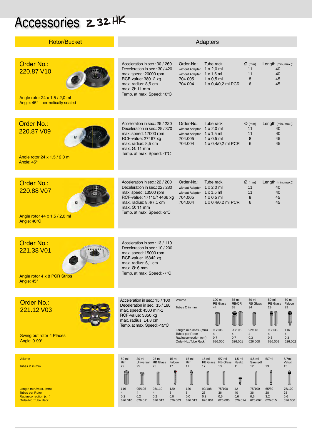## Accessories 232HK

| <b>Rotor/Bucket</b>                                                                                         | Adapters                                                                                                                                                                                                                                                               |                                                                                                                                                                                                    |                                                                                                                            |  |  |
|-------------------------------------------------------------------------------------------------------------|------------------------------------------------------------------------------------------------------------------------------------------------------------------------------------------------------------------------------------------------------------------------|----------------------------------------------------------------------------------------------------------------------------------------------------------------------------------------------------|----------------------------------------------------------------------------------------------------------------------------|--|--|
|                                                                                                             |                                                                                                                                                                                                                                                                        |                                                                                                                                                                                                    |                                                                                                                            |  |  |
| <b>Order No.:</b><br>220.87 V10<br>Angle rotor $24 \times 1.5 / 2.0$ ml<br>Angle: 45°   hermetically sealed | Acceleration in sec.: 30 / 260<br>Order-No.:<br>Deceleration in sec.: 30 / 420<br>without Adapter<br>max. speed: 20000 rpm<br>RCF-value: 38012 xg<br>704.005<br>max. radius: 8,5 cm<br>704.004<br>max. $Ø: 11$ mm<br>Temp. at max. Speed: 10°C                         | Tube rack<br>$\varnothing$ (mm)<br>$1 \times 2,0$ ml<br>11<br>without Adapter 1 x 1,5 ml<br>11<br>$1 \times 0.5$ ml<br>8<br>1 x 0,4/0,2 ml PCR<br>6                                                | Length (min./max.):<br>40<br>40<br>45<br>45                                                                                |  |  |
|                                                                                                             |                                                                                                                                                                                                                                                                        |                                                                                                                                                                                                    |                                                                                                                            |  |  |
| Order No.:<br>220.87 V09<br>Angle rotor 24 x 1,5 / 2,0 ml<br>Angle: 45°                                     | Acceleration in sec.: 25 / 220<br>Order-No.:<br>Deceleration in sec.: 25 / 370<br>without Adapter<br>max. speed: 17000 rpm<br>RCF-value: 27467 xg<br>704.005<br>max. radius: 8,5 cm<br>704.004<br>max. $\varnothing$ : 11 mm<br>Temp. at max. Speed: -1°C              | Tube rack<br>$\varnothing$ (mm)<br>$1 \times 2,0$ ml<br>11<br>without Adapter 1 x 1,5 ml<br>11<br>$1 \times 0.5$ ml<br>8<br>1 x 0,4/0,2 ml PCR<br>6                                                | Length (min./max.):<br>40<br>40<br>45<br>45                                                                                |  |  |
|                                                                                                             |                                                                                                                                                                                                                                                                        |                                                                                                                                                                                                    |                                                                                                                            |  |  |
| <b>Order No.:</b><br>220.88 V07<br>Angle rotor 44 x 1,5 / 2,0 ml<br>Angle: 40°C                             | Acceleration in sec.: 22 / 200<br>Order-No.:<br>Deceleration in sec.: 22 / 280<br>max. speed: 13500 rpm<br>RCF-value: 17115/14466 xg<br>704.005<br>max. radius: 8,4/7,1 cm<br>704.004<br>max. $\varnothing$ : 11 mm<br>Temp. at max. Speed: 5°C                        | Tube rack<br>$\varnothing$ (mm)<br>without Adapter 1 x 2,0 ml<br>11<br>without Adapter 1 x 1,5 ml<br>11<br>$1 \times 0.5$ ml<br>8<br>1 x 0,4/0,2 ml PCR<br>6                                       | Length (min./max.):<br>40<br>40<br>45<br>45                                                                                |  |  |
|                                                                                                             |                                                                                                                                                                                                                                                                        |                                                                                                                                                                                                    |                                                                                                                            |  |  |
| <b>Order No.:</b><br>221.38 V01<br>Angle rotor 4 x 8 PCR Strips<br>Angle: 45°                               | Acceleration in sec.: 13 / 110<br>Deceleration in sec.: 10 / 200<br>max. speed: 15000 rpm<br>RCF-value: 15342 xg<br>max. radius: 6,1 cm<br>$max. \varnothing: 6 mm$<br>Temp. at max. Speed: -7°C                                                                       |                                                                                                                                                                                                    |                                                                                                                            |  |  |
|                                                                                                             |                                                                                                                                                                                                                                                                        |                                                                                                                                                                                                    |                                                                                                                            |  |  |
| <b>Order No.:</b><br>221.12 V03<br><b>Swing out rotor 4 Places</b>                                          | Volume<br>Acceleration in sec.: 15 / 100<br>Deceleration in sec.: 15 / 180<br>Tubes Ø in mm<br>max. speed: 4500 min-1<br>RCF-value: 3350 xg<br>max. radius: 14,8 cm<br>Temp. at max. Speed: -15°C<br>Length min./max. (mm)<br>Tubes per Rotor<br>Radiuscorrection (cm) | 100 ml<br>50 ml<br>85 ml<br><b>RB</b> Glass<br>RB/OR<br><b>RB</b> Glass<br>44<br>34<br>38<br>90/108<br>90/108<br>92/118<br>$\overline{4}$<br>$\overline{4}$<br>$\overline{4}$<br>0,3<br>0,7<br>0,7 | 50 ml<br>50 ml<br><b>RB</b> Glass<br>Falcon<br>29<br>29<br>90/133<br>116<br>$\overline{4}$<br>$\overline{4}$<br>0,3<br>0,3 |  |  |
| Angle: 0-90°                                                                                                | Order-No.: Tube Rack                                                                                                                                                                                                                                                   | 626.001<br>626.008<br>626,000                                                                                                                                                                      | 626.002<br>626.009                                                                                                         |  |  |
| <b>Volume</b>                                                                                               | 30 ml<br>50 ml<br>25 ml<br>$15$ ml<br>$15$ ml                                                                                                                                                                                                                          | 15 <sub>ml</sub><br>$5/7$ ml<br>$1,5$ ml<br>4,5 ml                                                                                                                                                 | 5/7ml<br>5/7ml                                                                                                             |  |  |
| Tubes Ø in mm                                                                                               | Rim<br>Universal<br><b>RB</b> Glass<br>Falcon<br>Rim<br>29<br>25<br>25<br>17<br>17                                                                                                                                                                                     | RB Glass RB Glass<br>Reakt.<br>Sarstedt<br>17<br>13<br>11<br>12<br>Ţ                                                                                                                               | Vakut.<br>13<br>13                                                                                                         |  |  |
| Length min./max. (mm)<br><b>Tubes per Rotor</b><br>Radiuscorrection (cm)<br>Order-No.: Tube Rack            | 95/105<br>95/110<br>120<br>120<br>116<br>$\overline{4}$<br>$\overline{4}$<br>$\overline{4}$<br>8<br>8<br>0,2<br>0,0<br>0,2<br>0,2<br>0,0<br>626.012<br>626.003<br>626.010<br>626.011<br>626.013                                                                        | 75/100<br>90/108<br>75/100<br>42<br>40<br>28<br>36<br>36<br>0,3<br>0,6<br>0,6<br>0,6<br>626.004<br>626.007<br>626.005<br>626.014                                                                   | 65/80<br>75/100<br>28<br>28<br>3,2<br>0,6<br>626.015<br>626.006                                                            |  |  |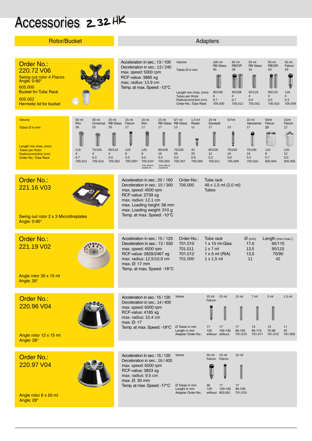### Accessories 232HK